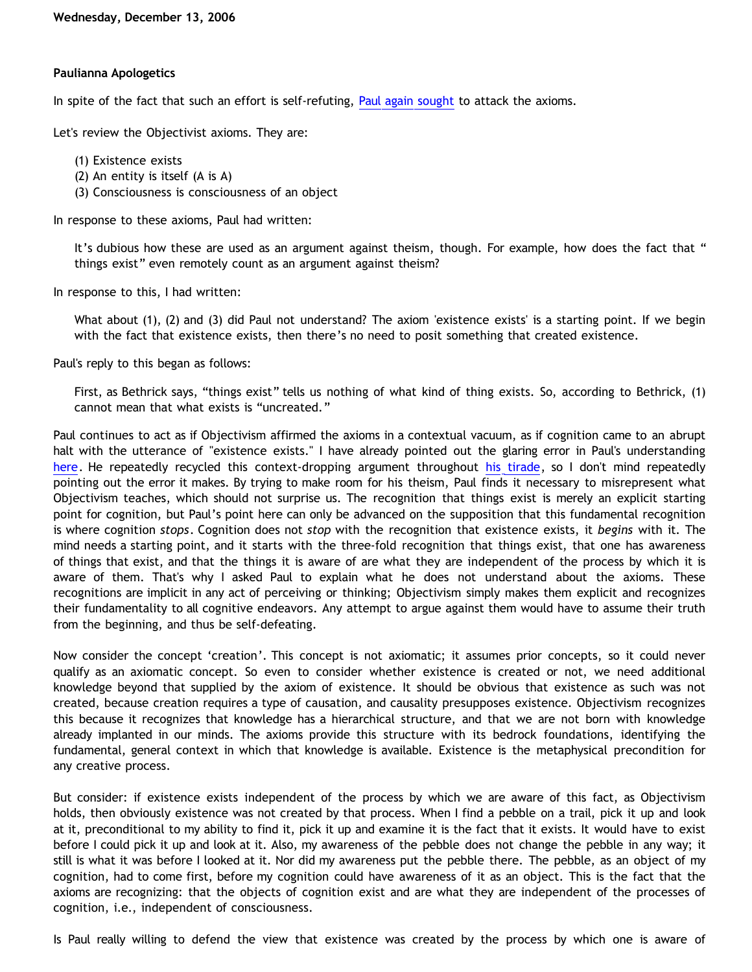## **Paulianna Apologetics**

In spite of the fact that such an effort is self-refuting, [Paul again sought](http://triablogue.blogspot.com/2006/11/bethrick-burner.html) to attack the axioms.

Let's review the Objectivist axioms. They are:

- (1) Existence exists
- (2) An entity is itself (A is A)
- (3) Consciousness is consciousness of an object

In response to these axioms, Paul had written:

It's dubious how these are used as an argument against theism, though. For example, how does the fact that " things exist" even remotely count as an argument against theism?

In response to this, I had written:

What about (1), (2) and (3) did Paul not understand? The axiom 'existence exists' is a starting point. If we begin with the fact that existence exists, then there's no need to posit something that created existence.

Paul's reply to this began as follows:

First, as Bethrick says, "things exist" tells us nothing of what kind of thing exists. So, according to Bethrick, (1) cannot mean that what exists is "uncreated."

Paul continues to act as if Objectivism affirmed the axioms in a contextual vacuum, as if cognition came to an abrupt halt with the utterance of "existence exists." I have already pointed out the glaring error in Paul's understanding [here](http://bahnsenburner.blogspot.com/2006/12/axioms-and-primacy-of-existence.html). He repeatedly recycled this context-dropping argument throughout [his tirade,](http://triablogue.blogspot.com/2006/11/bethrick-burner.html) so I don't mind repeatedly pointing out the error it makes. By trying to make room for his theism, Paul finds it necessary to misrepresent what Objectivism teaches, which should not surprise us. The recognition that things exist is merely an explicit starting point for cognition, but Paul's point here can only be advanced on the supposition that this fundamental recognition is where cognition *stops*. Cognition does not *stop* with the recognition that existence exists, it *begins* with it. The mind needs a starting point, and it starts with the three-fold recognition that things exist, that one has awareness of things that exist, and that the things it is aware of are what they are independent of the process by which it is aware of them. That's why I asked Paul to explain what he does not understand about the axioms. These recognitions are implicit in any act of perceiving or thinking; Objectivism simply makes them explicit and recognizes their fundamentality to all cognitive endeavors. Any attempt to argue against them would have to assume their truth from the beginning, and thus be self-defeating.

Now consider the concept 'creation'. This concept is not axiomatic; it assumes prior concepts, so it could never qualify as an axiomatic concept. So even to consider whether existence is created or not, we need additional knowledge beyond that supplied by the axiom of existence. It should be obvious that existence as such was not created, because creation requires a type of causation, and causality presupposes existence. Objectivism recognizes this because it recognizes that knowledge has a hierarchical structure, and that we are not born with knowledge already implanted in our minds. The axioms provide this structure with its bedrock foundations, identifying the fundamental, general context in which that knowledge is available. Existence is the metaphysical precondition for any creative process.

But consider: if existence exists independent of the process by which we are aware of this fact, as Objectivism holds, then obviously existence was not created by that process. When I find a pebble on a trail, pick it up and look at it, preconditional to my ability to find it, pick it up and examine it is the fact that it exists. It would have to exist before I could pick it up and look at it. Also, my awareness of the pebble does not change the pebble in any way; it still is what it was before I looked at it. Nor did my awareness put the pebble there. The pebble, as an object of my cognition, had to come first, before my cognition could have awareness of it as an object. This is the fact that the axioms are recognizing: that the objects of cognition exist and are what they are independent of the processes of cognition, i.e., independent of consciousness.

Is Paul really willing to defend the view that existence was created by the process by which one is aware of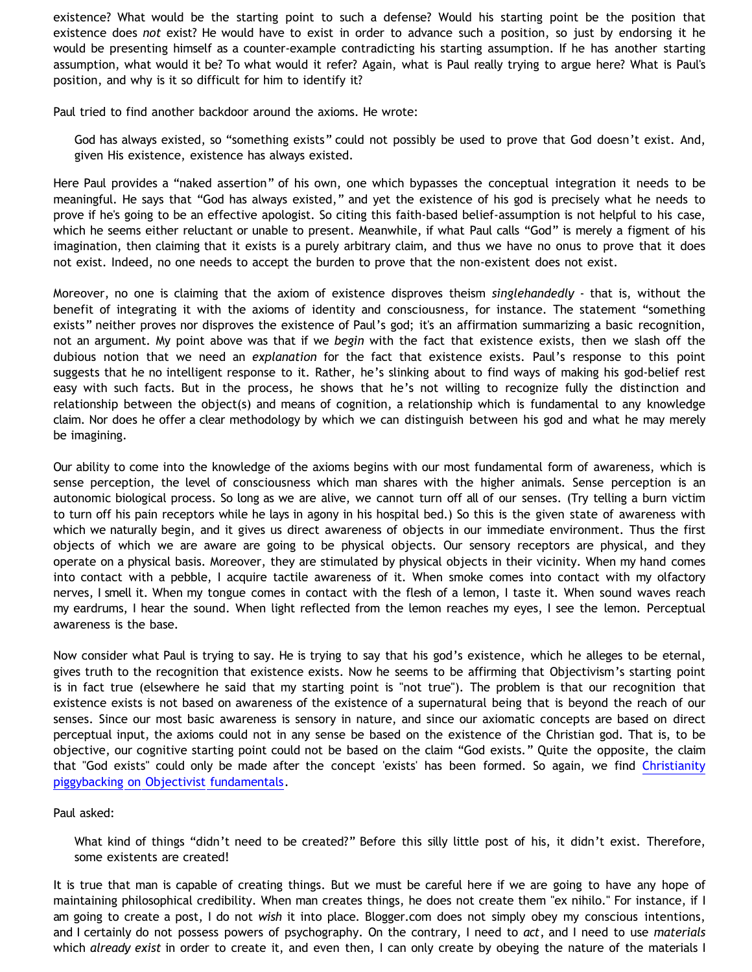existence? What would be the starting point to such a defense? Would his starting point be the position that existence does *not* exist? He would have to exist in order to advance such a position, so just by endorsing it he would be presenting himself as a counter-example contradicting his starting assumption. If he has another starting assumption, what would it be? To what would it refer? Again, what is Paul really trying to argue here? What is Paul's position, and why is it so difficult for him to identify it?

Paul tried to find another backdoor around the axioms. He wrote:

God has always existed, so "something exists" could not possibly be used to prove that God doesn't exist. And, given His existence, existence has always existed.

Here Paul provides a "naked assertion" of his own, one which bypasses the conceptual integration it needs to be meaningful. He says that "God has always existed," and yet the existence of his god is precisely what he needs to prove if he's going to be an effective apologist. So citing this faith-based belief-assumption is not helpful to his case, which he seems either reluctant or unable to present. Meanwhile, if what Paul calls "God" is merely a figment of his imagination, then claiming that it exists is a purely arbitrary claim, and thus we have no onus to prove that it does not exist. Indeed, no one needs to accept the burden to prove that the non-existent does not exist.

Moreover, no one is claiming that the axiom of existence disproves theism *singlehandedly* - that is, without the benefit of integrating it with the axioms of identity and consciousness, for instance. The statement "something exists" neither proves nor disproves the existence of Paul's god; it's an affirmation summarizing a basic recognition, not an argument. My point above was that if we *begin* with the fact that existence exists, then we slash off the dubious notion that we need an *explanation* for the fact that existence exists. Paul's response to this point suggests that he no intelligent response to it. Rather, he's slinking about to find ways of making his god-belief rest easy with such facts. But in the process, he shows that he's not willing to recognize fully the distinction and relationship between the object(s) and means of cognition, a relationship which is fundamental to any knowledge claim. Nor does he offer a clear methodology by which we can distinguish between his god and what he may merely be imagining.

Our ability to come into the knowledge of the axioms begins with our most fundamental form of awareness, which is sense perception, the level of consciousness which man shares with the higher animals. Sense perception is an autonomic biological process. So long as we are alive, we cannot turn off all of our senses. (Try telling a burn victim to turn off his pain receptors while he lays in agony in his hospital bed.) So this is the given state of awareness with which we naturally begin, and it gives us direct awareness of objects in our immediate environment. Thus the first objects of which we are aware are going to be physical objects. Our sensory receptors are physical, and they operate on a physical basis. Moreover, they are stimulated by physical objects in their vicinity. When my hand comes into contact with a pebble, I acquire tactile awareness of it. When smoke comes into contact with my olfactory nerves, I smell it. When my tongue comes in contact with the flesh of a lemon, I taste it. When sound waves reach my eardrums, I hear the sound. When light reflected from the lemon reaches my eyes, I see the lemon. Perceptual awareness is the base.

Now consider what Paul is trying to say. He is trying to say that his god's existence, which he alleges to be eternal, gives truth to the recognition that existence exists. Now he seems to be affirming that Objectivism's starting point is in fact true (elsewhere he said that my starting point is "not true"). The problem is that our recognition that existence exists is not based on awareness of the existence of a supernatural being that is beyond the reach of our senses. Since our most basic awareness is sensory in nature, and since our axiomatic concepts are based on direct perceptual input, the axioms could not in any sense be based on the existence of the Christian god. That is, to be objective, our cognitive starting point could not be based on the claim "God exists." Quite the opposite, the claim that "God exists" could only be made after the concept 'exists' has been formed. So again, we find [Christianity](http://bahnsenburner.blogspot.com/2006/07/theism-and-its-piggyback-starting.html) [piggybacking on Objectivist fundamentals.](http://bahnsenburner.blogspot.com/2006/07/theism-and-its-piggyback-starting.html)

## Paul asked:

What kind of things "didn't need to be created?" Before this silly little post of his, it didn't exist. Therefore, some existents are created!

It is true that man is capable of creating things. But we must be careful here if we are going to have any hope of maintaining philosophical credibility. When man creates things, he does not create them "ex nihilo." For instance, if I am going to create a post, I do not *wish* it into place. Blogger.com does not simply obey my conscious intentions, and I certainly do not possess powers of psychography. On the contrary, I need to *act*, and I need to use *materials* which *already exist* in order to create it, and even then, I can only create by obeying the nature of the materials I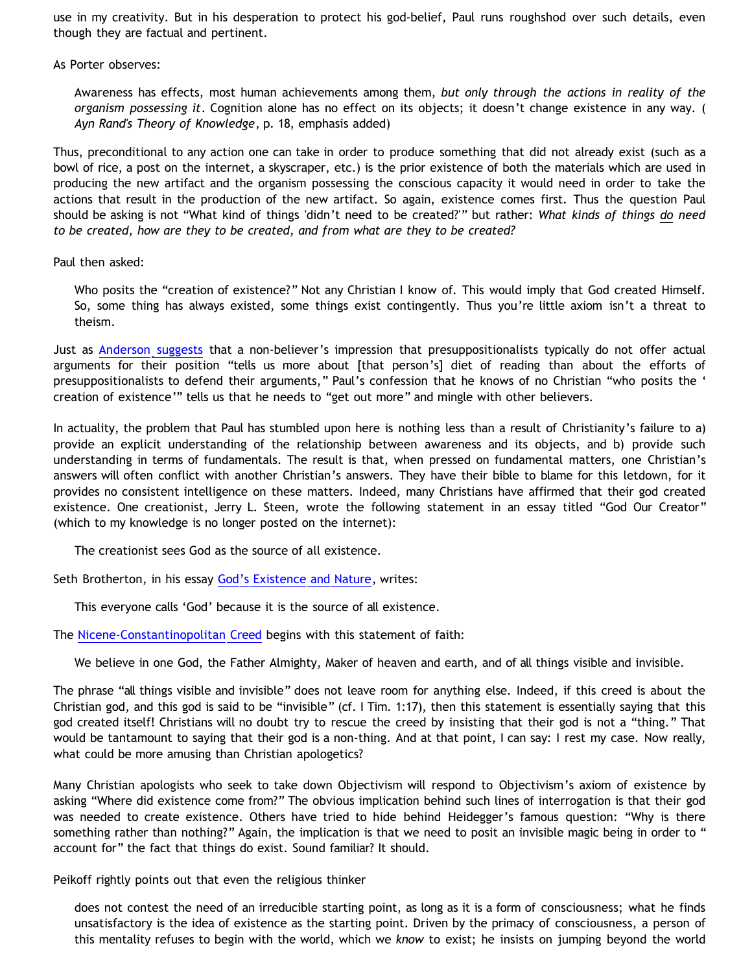use in my creativity. But in his desperation to protect his god-belief, Paul runs roughshod over such details, even though they are factual and pertinent.

As Porter observes:

Awareness has effects, most human achievements among them, *but only through the actions in reality of the organism possessing it*. Cognition alone has no effect on its objects; it doesn't change existence in any way. ( *Ayn Rand's Theory of Knowledge*, p. 18, emphasis added)

Thus, preconditional to any action one can take in order to produce something that did not already exist (such as a bowl of rice, a post on the internet, a skyscraper, etc.) is the prior existence of both the materials which are used in producing the new artifact and the organism possessing the conscious capacity it would need in order to take the actions that result in the production of the new artifact. So again, existence comes first. Thus the question Paul should be asking is not "What kind of things 'didn't need to be created?'" but rather: *What kinds of things do need to be created, how are they to be created, and from what are they to be created?*

Paul then asked:

Who posits the "creation of existence?" Not any Christian I know of. This would imply that God created Himself. So, some thing has always existed, some things exist contingently. Thus you're little axiom isn't a threat to theism.

Just as [Anderson suggests](http://triablogue.blogspot.com/2006/11/theistic-preconditions-of-knowledge.html) that a non-believer's impression that presuppositionalists typically do not offer actual arguments for their position "tells us more about [that person's] diet of reading than about the efforts of presuppositionalists to defend their arguments," Paul's confession that he knows of no Christian "who posits the ' creation of existence'" tells us that he needs to "get out more" and mingle with other believers.

In actuality, the problem that Paul has stumbled upon here is nothing less than a result of Christianity's failure to a) provide an explicit understanding of the relationship between awareness and its objects, and b) provide such understanding in terms of fundamentals. The result is that, when pressed on fundamental matters, one Christian's answers will often conflict with another Christian's answers. They have their bible to blame for this letdown, for it provides no consistent intelligence on these matters. Indeed, many Christians have affirmed that their god created existence. One creationist, Jerry L. Steen, wrote the following statement in an essay titled "God Our Creator" (which to my knowledge is no longer posted on the internet):

The creationist sees God as the source of all existence.

Seth Brotherton, in his essay [God's Existence and Nature,](http://www.bringyou.to/apologetics/p21.htm) writes:

This everyone calls 'God' because it is the source of all existence.

The [Nicene-Constantinopolitan Creed](http://www.antiochian.org/674) begins with this statement of faith:

We believe in one God, the Father Almighty, Maker of heaven and earth, and of all things visible and invisible.

The phrase "all things visible and invisible" does not leave room for anything else. Indeed, if this creed is about the Christian god, and this god is said to be "invisible" (cf. I Tim. 1:17), then this statement is essentially saying that this god created itself! Christians will no doubt try to rescue the creed by insisting that their god is not a "thing." That would be tantamount to saying that their god is a non-thing. And at that point, I can say: I rest my case. Now really, what could be more amusing than Christian apologetics?

Many Christian apologists who seek to take down Objectivism will respond to Objectivism's axiom of existence by asking "Where did existence come from?" The obvious implication behind such lines of interrogation is that their god was needed to create existence. Others have tried to hide behind Heidegger's famous question: "Why is there something rather than nothing?" Again, the implication is that we need to posit an invisible magic being in order to " account for" the fact that things do exist. Sound familiar? It should.

Peikoff rightly points out that even the religious thinker

does not contest the need of an irreducible starting point, as long as it is a form of consciousness; what he finds unsatisfactory is the idea of existence as the starting point. Driven by the primacy of consciousness, a person of this mentality refuses to begin with the world, which we *know* to exist; he insists on jumping beyond the world